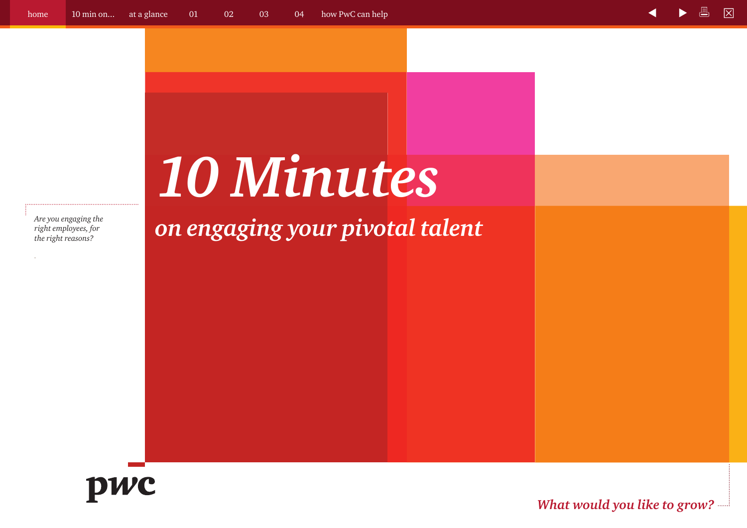*right employees, for the right reasons?*

*.*

# *10 Minutes*

*Are you engaging the on engaging the <b>one cright employees, for on engaging seaf one comparing your pivotal talent* 



*What would you like to grow?*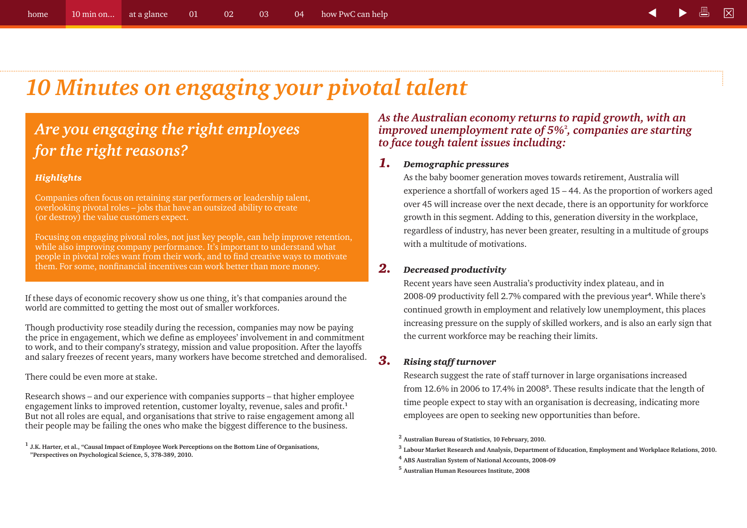# *10 Minutes on engaging your pivotal talent*

### *Are you engaging the right employees for the right reasons?*

#### *Highlights*

Companies often focus on retaining star performers or leadership talent, overlooking pivotal roles – jobs that have an outsized ability to create (or destroy) the value customers expect.

Focusing on engaging pivotal roles, not just key people, can help improve retention, while also improving company performance. It's important to understand what people in pivotal roles want from their work, and to find creative ways to motivate them. For some, nonfinancial incentives can work better than more money.

If these days of economic recovery show us one thing, it's that companies around the world are committed to getting the most out of smaller workforces.

Though productivity rose steadily during the recession, companies may now be paying the price in engagement, which we define as employees' involvement in and commitment to work, and to their company's strategy, mission and value proposition. After the layoffs and salary freezes of recent years, many workers have become stretched and demoralised.

There could be even more at stake.

Research shows – and our experience with companies supports – that higher employee engagement links to improved retention, customer loyalty, revenue, sales and profit.**<sup>1</sup>** But not all roles are equal, and organisations that strive to raise engagement among all their people may be failing the ones who make the biggest difference to the business.

**<sup>1</sup> J.K. Harter, et al., "Causal Impact of Employee Work Perceptions on the Bottom Line of Organisations, "Perspectives on Psychological Science, 5, 378-389, 2010.**

*As the Australian economy returns to rapid growth, with an improved unemployment rate of 5%***<sup>2</sup>** *, companies are starting to face tough talent issues including:*

#### *1. Demographic pressures*

As the baby boomer generation moves towards retirement, Australia will experience a shortfall of workers aged 15 – 44. As the proportion of workers aged over 45 will increase over the next decade, there is an opportunity for workforce growth in this segment. Adding to this, generation diversity in the workplace, regardless of industry, has never been greater, resulting in a multitude of groups with a multitude of motivations.

#### *2. Decreased productivity*

Recent years have seen Australia's productivity index plateau, and in 2008-09 productivity fell 2.7% compared with the previous year**<sup>4</sup>**. While there's continued growth in employment and relatively low unemployment, this places increasing pressure on the supply of skilled workers, and is also an early sign that the current workforce may be reaching their limits.

#### *3. Rising staff turnover*

Research suggest the rate of staff turnover in large organisations increased from 12.6% in 2006 to 17.4% in 2008**<sup>5</sup>**. These results indicate that the length of time people expect to stay with an organisation is decreasing, indicating more employees are open to seeking new opportunities than before.

**<sup>2</sup> Australian Bureau of Statistics, 10 February, 2010.**

- **<sup>3</sup> Labour Market Research and Analysis, Department of Education, Employment and Workplace Relations, 2010.**
- **<sup>4</sup> ABS Australian System of National Accounts, 2008-09**
- **<sup>5</sup> Australian Human Resources Institute, 2008**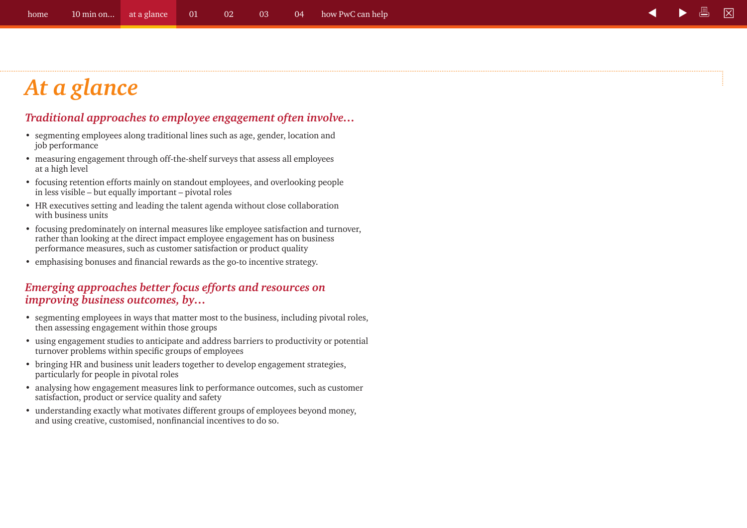# *At a glance*

#### *Traditional approaches to employee engagement often involve…*

- segmenting employees along traditional lines such as age, gender, location and job performance
- measuring engagement through off-the-shelf surveys that assess all employees at a high level
- focusing retention efforts mainly on standout employees, and overlooking people in less visible – but equally important – pivotal roles
- HR executives setting and leading the talent agenda without close collaboration with business units
- focusing predominately on internal measures like employee satisfaction and turnover, rather than looking at the direct impact employee engagement has on business performance measures, such as customer satisfaction or product quality
- emphasising bonuses and financial rewards as the go-to incentive strategy.

#### *Emerging approaches better focus efforts and resources on improving business outcomes, by…*

- segmenting employees in ways that matter most to the business, including pivotal roles, then assessing engagement within those groups
- using engagement studies to anticipate and address barriers to productivity or potential turnover problems within specific groups of employees
- bringing HR and business unit leaders together to develop engagement strategies, particularly for people in pivotal roles
- analysing how engagement measures link to performance outcomes, such as customer satisfaction, product or service quality and safety
- understanding exactly what motivates different groups of employees beyond money, and using creative, customised, nonfinancial incentives to do so.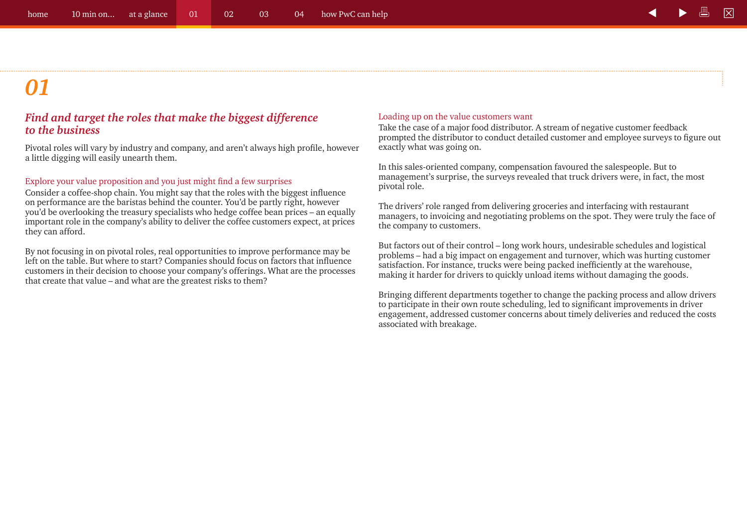#### *Find and target the roles that make the biggest difference to the business*

Pivotal roles will vary by industry and company, and aren't always high profile, however a little digging will easily unearth them.

#### Explore your value proposition and you just might find a few surprises

Consider a coffee-shop chain. You might say that the roles with the biggest influence on performance are the baristas behind the counter. You'd be partly right, however you'd be overlooking the treasury specialists who hedge coffee bean prices – an equally important role in the company's ability to deliver the coffee customers expect, at prices they can afford.

By not focusing in on pivotal roles, real opportunities to improve performance may be left on the table. But where to start? Companies should focus on factors that influence customers in their decision to choose your company's offerings. What are the processes that create that value – and what are the greatest risks to them?

#### Loading up on the value customers want

Take the case of a major food distributor. A stream of negative customer feedback prompted the distributor to conduct detailed customer and employee surveys to figure out exactly what was going on.

In this sales-oriented company, compensation favoured the salespeople. But to management's surprise, the surveys revealed that truck drivers were, in fact, the most pivotal role.

The drivers' role ranged from delivering groceries and interfacing with restaurant managers, to invoicing and negotiating problems on the spot. They were truly the face of the company to customers.

But factors out of their control – long work hours, undesirable schedules and logistical problems – had a big impact on engagement and turnover, which was hurting customer satisfaction. For instance, trucks were being packed inefficiently at the warehouse, making it harder for drivers to quickly unload items without damaging the goods.

Bringing different departments together to change the packing process and allow drivers to participate in their own route scheduling, led to significant improvements in driver engagement, addressed customer concerns about timely deliveries and reduced the costs associated with breakage.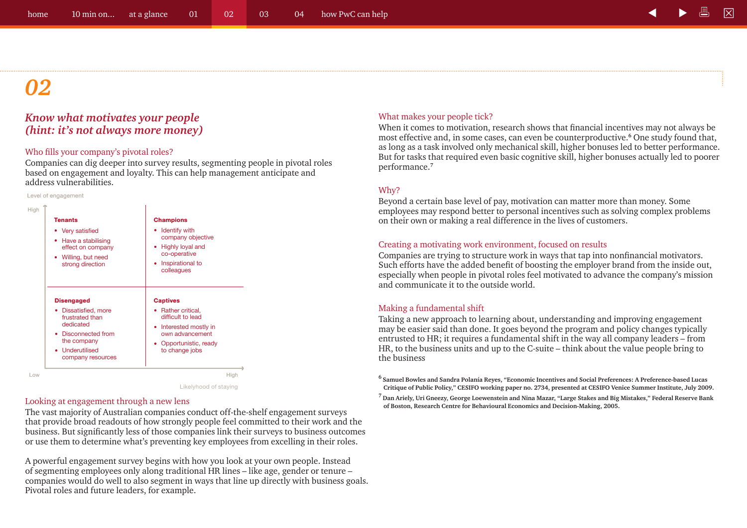#### *Know what motivates your people (hint: it's not always more money)*

#### Who fills your company's pivotal roles?

Companies can dig deeper into survey results, segmenting people in pivotal roles based on engagement and loyalty. This can help management anticipate and address vulnerabilities.

#### Level of engagement

| <b>Tenants</b>                                                                                                                                           | <b>Champions</b>                                                                                                                                       |
|----------------------------------------------------------------------------------------------------------------------------------------------------------|--------------------------------------------------------------------------------------------------------------------------------------------------------|
| • Very satisfied                                                                                                                                         | Identify with                                                                                                                                          |
| Have a stabilising                                                                                                                                       | company objective                                                                                                                                      |
| ٠                                                                                                                                                        | • Highly loyal and                                                                                                                                     |
| effect on company                                                                                                                                        | co-operative                                                                                                                                           |
| Willing, but need                                                                                                                                        | Inspirational to                                                                                                                                       |
| ۰                                                                                                                                                        | $\bullet$                                                                                                                                              |
| strong direction                                                                                                                                         | colleagues                                                                                                                                             |
| <b>Disengaged</b><br>Dissatisfied, more<br>frustrated than<br>dedicated<br>Disconnected from<br>٠<br>the company<br>• Underutilised<br>company resources | <b>Captives</b><br>• Rather critical,<br>difficult to lead<br>• Interested mostly in<br>own advancement<br>Opportunistic, ready<br>۰<br>to change jobs |

Likelyhood of staying

#### Looking at engagement through a new lens

The vast majority of Australian companies conduct off-the-shelf engagement surveys that provide broad readouts of how strongly people feel committed to their work and the business. But significantly less of those companies link their surveys to business outcomes or use them to determine what's preventing key employees from excelling in their roles.

A powerful engagement survey begins with how you look at your own people. Instead of segmenting employees only along traditional HR lines – like age, gender or tenure – companies would do well to also segment in ways that line up directly with business goals. Pivotal roles and future leaders, for example.

#### What makes your people tick?

When it comes to motivation, research shows that financial incentives may not always be most effective and, in some cases, can even be counterproductive.**<sup>6</sup>** One study found that, as long as a task involved only mechanical skill, higher bonuses led to better performance. But for tasks that required even basic cognitive skill, higher bonuses actually led to poorer performance.**<sup>7</sup>**

#### Why?

Beyond a certain base level of pay, motivation can matter more than money. Some employees may respond better to personal incentives such as solving complex problems on their own or making a real difference in the lives of customers.

#### Creating a motivating work environment, focused on results

Companies are trying to structure work in ways that tap into nonfinancial motivators. Such efforts have the added benefit of boosting the employer brand from the inside out, especially when people in pivotal roles feel motivated to advance the company's mission and communicate it to the outside world.

#### Making a fundamental shift

Taking a new approach to learning about, understanding and improving engagement may be easier said than done. It goes beyond the program and policy changes typically entrusted to HR; it requires a fundamental shift in the way all company leaders – from HR, to the business units and up to the C-suite – think about the value people bring to the business

**6 Samuel Bowles and Sandra Polanía Reyes, "Economic Incentives and Social Preferences: A Preference-based Lucas Critique of Public Policy," CESIFO working paper no. 2734, presented at CESIFO Venice Summer Institute, July 2009.**

**7 Dan Ariely, Uri Gneezy, George Loewenstein and Nina Mazar, "Large Stakes and Big Mistakes," Federal Reserve Bank of Boston, Research Centre for Behavioural Economics and Decision-Making, 2005.**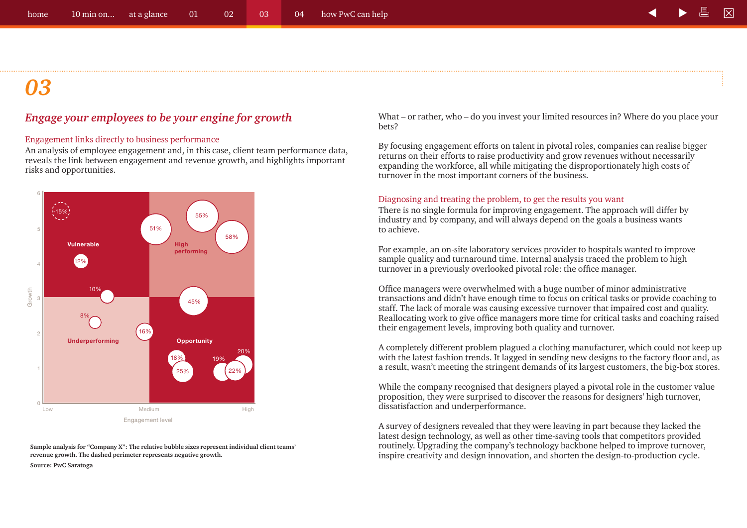#### *Engage your employees to be your engine for growth*

#### Engagement links directly to business performance

An analysis of employee engagement and, in this case, client team performance data, reveals the link between engagement and revenue growth, and highlights important risks and opportunities.



**Sample analysis for "Company X": The relative bubble sizes represent individual client teams' revenue growth. The dashed perimeter represents negative growth. Source: PwC Saratoga**

What – or rather, who – do you invest your limited resources in? Where do you place your bets?

By focusing engagement efforts on talent in pivotal roles, companies can realise bigger returns on their efforts to raise productivity and grow revenues without necessarily expanding the workforce, all while mitigating the disproportionately high costs of turnover in the most important corners of the business.

#### Diagnosing and treating the problem, to get the results you want

There is no single formula for improving engagement. The approach will differ by industry and by company, and will always depend on the goals a business wants to achieve.

For example, an on-site laboratory services provider to hospitals wanted to improve sample quality and turnaround time. Internal analysis traced the problem to high turnover in a previously overlooked pivotal role: the office manager.

Office managers were overwhelmed with a huge number of minor administrative transactions and didn't have enough time to focus on critical tasks or provide coaching to staff. The lack of morale was causing excessive turnover that impaired cost and quality. Reallocating work to give office managers more time for critical tasks and coaching raised their engagement levels, improving both quality and turnover.

A completely different problem plagued a clothing manufacturer, which could not keep up with the latest fashion trends. It lagged in sending new designs to the factory floor and, as a result, wasn't meeting the stringent demands of its largest customers, the big-box stores.

While the company recognised that designers played a pivotal role in the customer value proposition, they were surprised to discover the reasons for designers' high turnover, dissatisfaction and underperformance.

A survey of designers revealed that they were leaving in part because they lacked the latest design technology, as well as other time-saving tools that competitors provided routinely. Upgrading the company's technology backbone helped to improve turnover, inspire creativity and design innovation, and shorten the design-to-production cycle.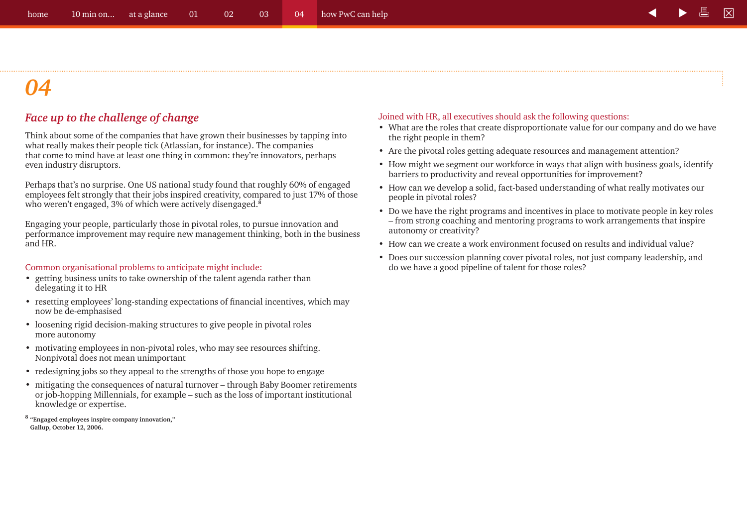#### *Face up to the challenge of change*

Think about some of the companies that have grown their businesses by tapping into what really makes their people tick (Atlassian, for instance). The companies that come to mind have at least one thing in common: they're innovators, perhaps even industry disruptors.

Perhaps that's no surprise. One US national study found that roughly 60% of engaged employees felt strongly that their jobs inspired creativity, compared to just 17% of those who weren't engaged, 3% of which were actively disengaged.**<sup>8</sup>**

Engaging your people, particularly those in pivotal roles, to pursue innovation and performance improvement may require new management thinking, both in the business and HR.

#### Common organisational problems to anticipate might include:

- getting business units to take ownership of the talent agenda rather than delegating it to HR
- resetting employees' long-standing expectations of financial incentives, which may now be de-emphasised
- loosening rigid decision-making structures to give people in pivotal roles more autonomy
- motivating employees in non-pivotal roles, who may see resources shifting. Nonpivotal does not mean unimportant
- redesigning jobs so they appeal to the strengths of those you hope to engage
- mitigating the consequences of natural turnover through Baby Boomer retirements or job-hopping Millennials, for example – such as the loss of important institutional knowledge or expertise.
- **<sup>8</sup> "Engaged employees inspire company innovation," Gallup, October 12, 2006.**

#### Joined with HR, all executives should ask the following questions:

- What are the roles that create disproportionate value for our company and do we have the right people in them?
- Are the pivotal roles getting adequate resources and management attention?
- How might we segment our workforce in ways that align with business goals, identify barriers to productivity and reveal opportunities for improvement?
- How can we develop a solid, fact-based understanding of what really motivates our people in pivotal roles?
- Do we have the right programs and incentives in place to motivate people in key roles – from strong coaching and mentoring programs to work arrangements that inspire autonomy or creativity?
- How can we create a work environment focused on results and individual value?
- Does our succession planning cover pivotal roles, not just company leadership, and do we have a good pipeline of talent for those roles?